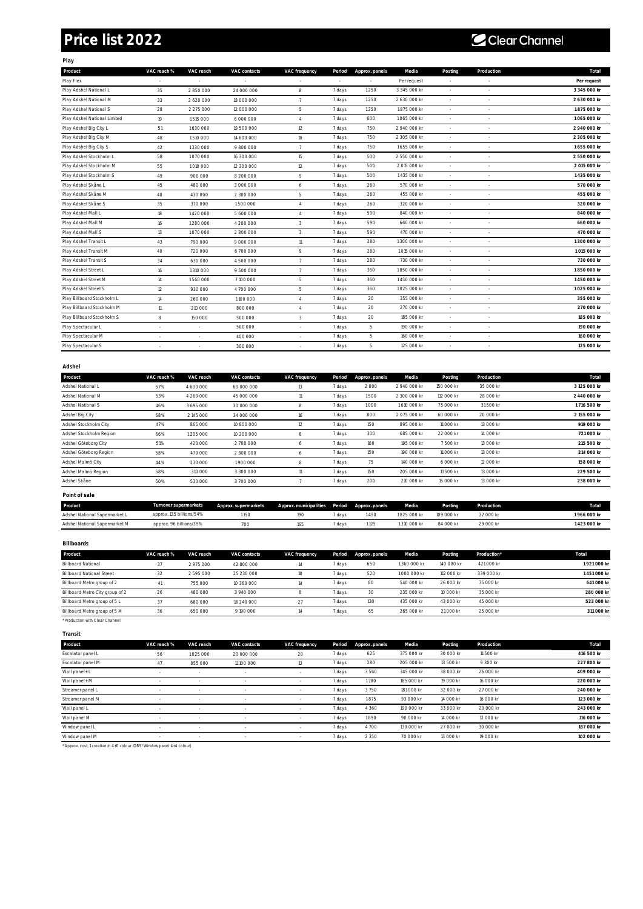## **Price list 2022**

## C Clear Channel

|--|

| Product                      | VAC reach %     | VAC reach | VAC contacts | VAC frequency  | Period | Approx. panels | Media        | Posting        | Production | Total        |
|------------------------------|-----------------|-----------|--------------|----------------|--------|----------------|--------------|----------------|------------|--------------|
| Play Flex                    |                 |           |              |                |        |                | Per request  |                |            | Per request  |
| Play Adshel National L       | 35              | 2850000   | 24 000 000   | 8              | 7 days | 1250           | 3 345 000 kr |                |            | 3 345 000 kr |
| Play Adshel National M       | 33              | 2 620 000 | 18 000 000   | $\overline{7}$ | 7 days | 1250           | 2 630 000 kr |                |            | 2 630 000 kr |
| Play Adshel National S       | 28              | 2 275 000 | 12 000 000   | 5              | 7 days | 1250           | 1875 000 kr  | ٠              |            | 1875 000 kr  |
| Play Adshel National Limited | 19              | 1515000   | 6 000 000    | $\overline{4}$ | 7 days | 600            | 1065 000 kr  |                |            | 1065 000 kr  |
| Play Adshel Big City L       | 51              | 1630000   | 19 500 000   | 12             | 7 days | 750            | 2 940 000 kr |                |            | 2 940 000 kr |
| Play Adshel Big City M       | 48              | 1510000   | 14 600 000   | 10             | 7 days | 750            | 2 305 000 kr |                |            | 2 305 000 kr |
| Play Adshel Big City S       | 42              | 1330000   | 9800000      | $\overline{7}$ | 7 days | 750            | 1655 000 kr  | $\sim$         | $\sim$     | 1655 000 kr  |
| Play Adshel Stockholm L      | 58              | 1070000   | 16 300 000   | 15             | 7 days | 500            | 2 550 000 kr |                |            | 2 550 000 kr |
| Play Adshel Stockholm M      | 55              | 1010000   | 12 300 000   | 12             | 7 days | 500            | 2015 000 kr  |                |            | 2015000 kr   |
| Play Adshel Stockholm S      | 49              | 900 000   | 8 200 000    | 9              | 7 days | 500            | 1435 000 kr  |                |            | 1435 000 kr  |
| Play Adshel Skåne L          | 45              | 480 000   | 3 000 000    | 6              | 7 days | 260            | 570 000 kr   |                |            | 570 000 kr   |
| Play Adshel Skåne M          | 40              | 430 000   | 2 300 000    | 5              | 7 days | 260            | 455 000 kr   |                |            | 455 000 kr   |
| Play Adshel Skåne S          | 35              | 370 000   | 1500000      | $\overline{4}$ | 7 days | 260            | 320 000 kr   |                |            | 320 000 kr   |
| Play Adshel Mall L           | 18              | 1420000   | 5 600 000    | $\it 4$        | 7 days | 590            | 840 000 kr   |                |            | 840 000 kr   |
| Play Adshel Mall M           | 16              | 1280000   | 4 200 000    | 3              | 7 days | 590            | 660 000 kr   | $\overline{a}$ |            | 660 000 kr   |
| Play Adshel Mall S           | 13              | 1070000   | 2800000      | 3              | 7 days | 590            | 470 000 kr   |                |            | 470 000 kr   |
| Play Adshel Transit L        | 43              | 790 000   | 9 000 000    | 11             | 7 days | 280            | 1300 000 kr  |                |            | 1 300 000 kr |
| Play Adshel Transit M        | 40              | 720 000   | 6700000      | 9              | 7 days | 280            | 1015 000 kr  |                |            | 1015 000 kr  |
| Play Adshel Transit S        | 34              | 630 000   | 4 500 000    | $\overline{7}$ | 7 days | 280            | 730 000 kr   | $\sim$         |            | 730 000 kr   |
| Play Adshel Street L         | 16              | 1310000   | 9 500 000    | $\overline{7}$ | 7 days | 360            | 1850 000 kr  |                |            | 1850000 kr   |
| Play Adshel Street M         | 14              | 1560000   | 7100000      | 5              | 7 days | 360            | 1450 000 kr  |                |            | 1450 000 kr  |
| Play Adshel Street S         | 12              | 930 000   | 4 700 000    | 5              | 7 days | 360            | 1025 000 kr  |                |            | 1025 000 kr  |
| Play Billboard Stockholm L   | 14              | 260 000   | 1100 000     | $\overline{4}$ | 7 days | 20             | 355 000 kr   |                |            | 355 000 kr   |
| Play Billboard Stockholm M   | $\overline{11}$ | 210 000   | 800 000      | $\overline{4}$ | 7 days | 20             | 270 000 kr   |                |            | 270 000 kr   |
| Play Billboard Stockholm S   | $\,$ 8          | 150 000   | 500 000      | 3              | 7 days | 20             | 185 000 kr   |                | $\sim$     | 185 000 kr   |
| Play Spectacular L           |                 |           | 500 000      |                | 7 days | 5              | 190 000 kr   |                |            | 190 000 kr   |
| Play Spectacular M           |                 |           | 400 000      |                | 7 days | 5              | 160 000 kr   |                |            | 160 000 kr   |
| Play Spectacular S           |                 |           | 300 000      |                | 7 days | 5              | 125 000 kr   |                |            | 125 000 kr   |
|                              |                 |           |              |                |        |                |              |                |            |              |

| Adshel                  |             |           |              |               |        |                |              |            |            |              |
|-------------------------|-------------|-----------|--------------|---------------|--------|----------------|--------------|------------|------------|--------------|
| Product                 | VAC reach % | VAC reach | VAC contacts | VAC frequency | Period | Approx. panels | Media        | Posting    | Production | Total        |
| Adshel National L       | 57%         | 4 600 000 | 60 000 000   | 13            | 7 days | 2000           | 2 940 000 kr | 150 000 kr | 35 000 kr  | 3125 000 kr  |
| Adshel National M       | 53%         | 4 260 000 | 45 000 000   | 11            | 7 days | 1500           | 2 300 000 kr | 112 000 kr | 28 000 kr  | 2 440 000 kr |
| Adshel National S       | 46%         | 3 695 000 | 30 000 000   | 8             | 7 days | 1000           | 1610 000 kr  | 75 000 kr  | 31 500 kr  | 1716 500 kr  |
| Adshel Big City         | 68%         | 2145 000  | 34 000 000   | 16            | 7 days | 800            | 2075000 kr   | 60 000 kr  | 20 000 kr  | 2155 000 kr  |
| Adshel Stockholm City   | 47%         | 865 000   | 10 800 000   | 12            | 7 days | 150            | 895 000 kr   | 11 000 kr  | 13 000 kr  | 919 000 kr   |
| Adshel Stockholm Region | 66%         | 1205 000  | 10 200 000   | 8             | 7 days | 300            | 685 000 kr   | 22 000 kr  | 14 000 kr  | 721 000 kr   |
| Adshel Göteborg City    | 51%         | 420 000   | 2700000      | ь             | 7 days | 100            | 195 000 kr   | 7500 kr    | 13 000 kr  | 215 500 kr   |
| Adshel Göteborg Region  | 58%         | 470 000   | 2800000      | ь             | 7 days | 150            | 190 000 kr   | 11 000 kr  | 13 000 kr  | 214 000 kr   |
| Adshel Malmö City       | 44%         | 230 000   | 1900000      | 8             | 7 days | 75             | 140 000 kr   | 6 000 kr   | 12 000 kr  | 158 000 kr   |
| Adshel Malmö Region     | 58%         | 310 000   | 3 300 000    | 11            | 7 days | 150            | 205 000 kr   | 11 500 kr  | 13 000 kr  | 229 500 kr   |
| Adshel Skåne            | 50%         | 530 000   | 3700000      |               | 7 days | 200            | 210 000 kr   | 15 000 kr  | 13 000 kr  | 238 000 kr   |
| Point of sale           |             |           |              |               |        |                |              |            |            |              |

| Product                       | Turnover supermarkets    | Approx. supermarkets | Approx. municipalities Period Approx. panels Media |        |     |             | Posting    | Production | Tota      |
|-------------------------------|--------------------------|----------------------|----------------------------------------------------|--------|-----|-------------|------------|------------|-----------|
| Adshel National Supermarket L | approx. 135 billions/54% | 150                  | 190                                                | 7 davs | 450 | 1825 000 kr | 109 000 kr | 32 000 kr  | 966000 kr |
| Adshel National Supermarket M | approx. 96 billions/39%  |                      | 165                                                | ' davs | 125 | 310 000 kr  | 84 000 kr  | 29 000 kr  | 423000 kr |

**Billboards**

| Product                          | VAC reach % | VAC reach | VAC contacts | VAC frequency | Period | Approx. panels | Media       | Posting    | Production* | Total      |
|----------------------------------|-------------|-----------|--------------|---------------|--------|----------------|-------------|------------|-------------|------------|
| <b>Billboard National</b>        | $\cdot$     | 2975000   | 42 800 000   | 14            | 7 days | 650            | 1360 000 kr | 140 000 kr | 421 000 kr  | 1921000 kr |
| <b>Billboard National Street</b> | 32          | 2595000   | 25 230 000   |               | 7 days | 520            | 1000 000 kr | 112 000 kr | 339 000 kr  | 1451000 kr |
| Billboard Metro group of 2       |             | 755 000   | 10 360 000   | 14            | 7 days | 80             | 540 000 kr  | 26 000 kr  | 75 000 kr   | 641 000 kr |
| Billboard Metro City group of 2  | 26          | 480 000   | 3940000      |               | 7 days | 30             | 235 000 kr  | 10 000 kr  | 35 000 kr   | 280 000 kr |
| Billboard Metro group of 5 L     |             | 680 000   | 18 240 000   | 27            | 7 days | 130            | 435 000 kr  | 43 000 kr  | 45 000 kr   | 523 000 kr |
| Billboard Metro group of 5 M     | 36          | 650 000   | 9190000      | 14            | 7 days | 65             | 265 000 kr  | 21 000 kr  | 25 000 kr   | 311 000 kr |
| * Production with Clear Channel  |             |           |              |               |        |                |             |            |             |            |

**Transit**

| Product           | VAC reach % | VAC reach | VAC contacts | VAC frequency | Period | Approx. panels | Media      | Posting   | Production | Total      |
|-------------------|-------------|-----------|--------------|---------------|--------|----------------|------------|-----------|------------|------------|
| Escalator panel L | 56          | 1025 000  | 20 000 000   | 20            | 7 days | 625            | 375 000 kr | 30 000 kr | 11 500 kr  | 416 500 kr |
| Escalator panel M |             | 855 000   | 11 100 000   | 13            | 7 days | 280            | 205 000 kr | 13 500 kr | 9 300 kr   | 227 800 kr |
| Wall panel+ L     |             |           |              |               | 7 days | 3560           | 345 000 kr | 38 000 kr | 26 000 kr  | 409 000 kr |
| Wall panel+ M     |             |           |              |               | 7 days | 1780           | 185 000 kr | 19 000 kr | 16 000 kr  | 220 000 kr |
| Streamer panel L  |             |           |              |               | 7 days | 3750           | 181 000 kr | 32 000 kr | 27 000 kr  | 240 000 kr |
| Streamer panel M  | $\sim$      |           |              |               | 7 days | 1875           | 93 000 kr  | 14 000 kr | 16 000 kr  | 123 000 kr |
| Wall panel L      |             |           |              |               | 7 days | 4 3 6 0        | 190 000 kr | 33 000 kr | 20 000 kr  | 243 000 kr |
| Wall panel M      |             |           |              |               | 7 days | 1890           | 90 000 kr  | 14 000 kr | 12 000 kr  | 116 000 kr |
| Window panel L    | $\sim$      |           |              |               | 7 days | 4700           | 130 000 kr | 27 000 kr | 30 000 kr  | 187 000 kr |
| Window panel M    |             |           |              |               | 7 days | 2 3 5 0        | 70 000 kr  | 13 000 kr | 19 000 kr  | 102 000 kr |

\* Approx. cost, 1 creative in 4+0 colour (OBS! Window panel 4+4 colour)